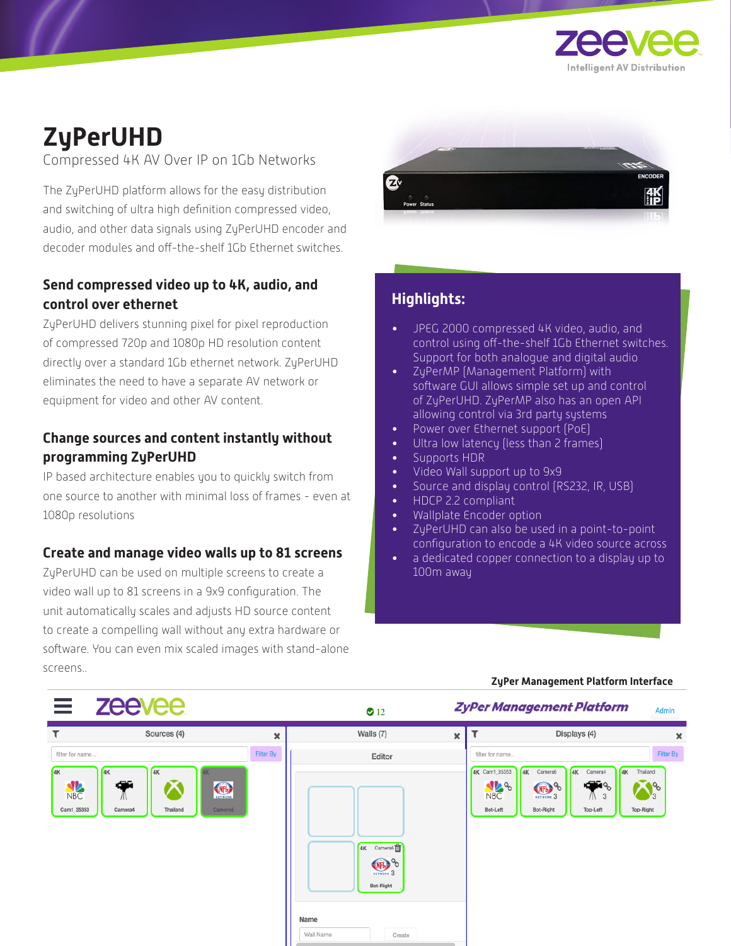

# **ZyPerUHD**

Compressed 4K AV Over IP on 1Gb Networks

The ZyPerUHD platform allows for the easy distribution and switching of ultra high definition compressed video, audio, and other data signals using ZyPerUHD encoder and decoder modules and off-the-shelf 1Gb Ethernet switches.

### **Send compressed video up to 4K, audio, and control over ethernet**

ZyPerUHD delivers stunning pixel for pixel reproduction of compressed 720p and 1080p HD resolution content directly over a standard 1Gb ethernet network. ZyPerUHD eliminates the need to have a separate AV network or equipment for video and other AV content.

#### **Change sources and content instantly without programming ZyPerUHD**

IP based architecture enables you to quickly switch from one source to another with minimal loss of frames - even at 1080p resolutions

#### **Create and manage video walls up to 81 screens**

ZyPerUHD can be used on multiple screens to create a video wall up to 81 screens in a 9x9 configuration. The unit automatically scales and adjusts HD source content to create a compelling wall without any extra hardware or software. You can even mix scaled images with stand-alone screens..



## **Highlights:**

- JPEG 2000 compressed 4K video, audio, and control using off-the-shelf 1Gb Ethernet switches. Support for both analogue and digital audio
- ZyPerMP (Management Platform) with software GUI allows simple set up and control of ZyPerUHD. ZyPerMP also has an open API allowing control via 3rd party systems
- Power over Ethernet support (PoE)
- Ultra low latency (less than 2 frames)
- Supports HDR
- Video Wall support up to 9x9
- Source and display control (RS232, IR, USB)
- HDCP 2.2 compliant
- Wallplate Encoder option
- ZyPerUHD can also be used in a point-to-point configuration to encode a 4K video source across
- a dedicated copper connection to a display up to 100m away

#### **ZyPer Management Platform Interface**